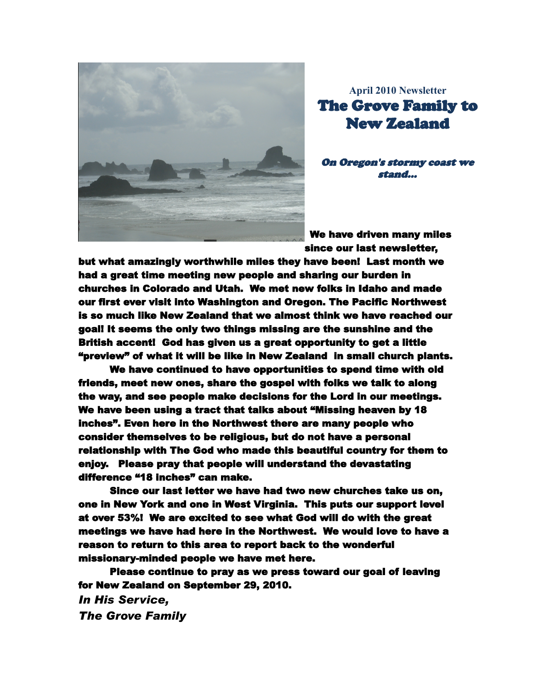

**April 2010 Newsletter The Grove Family to New Zealand** 

On Oregon's stormy coast we stand...

We have driven many miles since our last newsletter.

but what amazingly worthwhile miles they have been! Last month we had a great time meeting new people and sharing our burden in churches in Colorado and Utah. We met new folks in Idaho and made our first ever visit into Washington and Oregon. The Pacific Northwest is so much like New Zealand that we almost think we have reached our goal! It seems the only two things missing are the sunshine and the British accent! God has given us a great opportunity to get a little "preview" of what it will be like in New Zealand in small church plants.

We have continued to have opportunities to spend time with old friends, meet new ones, share the gospel with folks we talk to along the way, and see people make decisions for the Lord in our meetings. We have been using a tract that talks about "Missing heaven by 18 inches". Even here in the Northwest there are many people who consider themselves to be religious, but do not have a personal relationship with The God who made this beautiful country for them to eniov. Please pray that people will understand the devastating difference "18 inches" can make.

Since our last letter we have had two new churches take us on. one in New York and one in West Virginia. This puts our support level at over 53%! We are excited to see what God will do with the great meetings we have had here in the Northwest. We would love to have a reason to return to this area to report back to the wonderful missionary-minded people we have met here.

Please continue to pray as we press toward our goal of leaving for New Zealand on September 29, 2010.

**In His Service. The Grove Family**